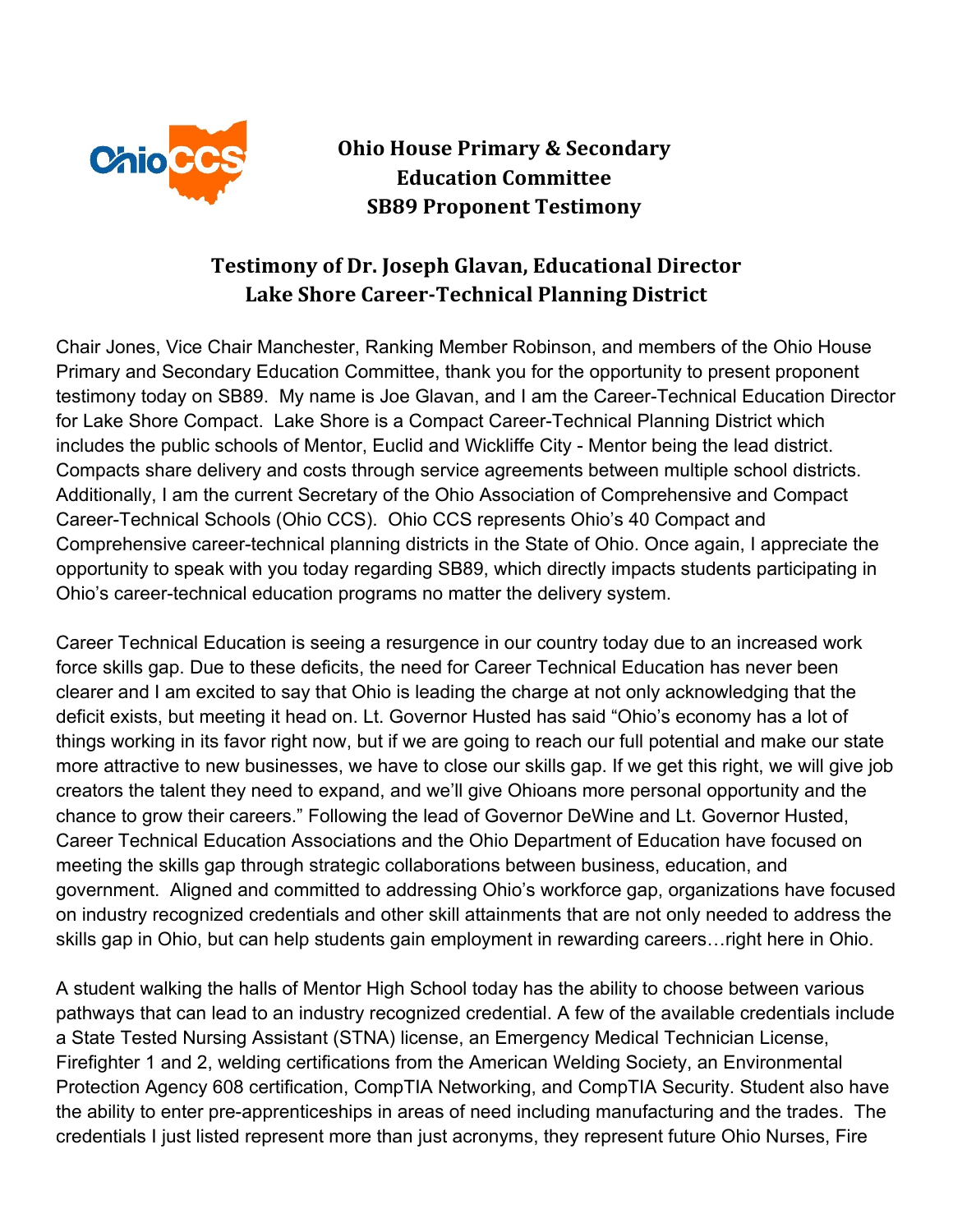

**Ohio House Primary & Secondary Education Committee SB89 Proponent Testimony**

## **Testimony of Dr. Joseph Glavan, Educational Director Lake Shore Career-Technical Planning District**

Chair Jones, Vice Chair Manchester, Ranking Member Robinson, and members of the Ohio House Primary and Secondary Education Committee, thank you for the opportunity to present proponent testimony today on SB89. My name is Joe Glavan, and I am the Career-Technical Education Director for Lake Shore Compact. Lake Shore is a Compact Career-Technical Planning District which includes the public schools of Mentor, Euclid and Wickliffe City - Mentor being the lead district. Compacts share delivery and costs through service agreements between multiple school districts. Additionally, I am the current Secretary of the Ohio Association of Comprehensive and Compact Career-Technical Schools (Ohio CCS). Ohio CCS represents Ohio's 40 Compact and Comprehensive career-technical planning districts in the State of Ohio. Once again, I appreciate the opportunity to speak with you today regarding SB89, which directly impacts students participating in Ohio's career-technical education programs no matter the delivery system.

Career Technical Education is seeing a resurgence in our country today due to an increased work force skills gap. Due to these deficits, the need for Career Technical Education has never been clearer and I am excited to say that Ohio is leading the charge at not only acknowledging that the deficit exists, but meeting it head on. Lt. Governor Husted has said "Ohio's economy has a lot of things working in its favor right now, but if we are going to reach our full potential and make our state more attractive to new businesses, we have to close our skills gap. If we get this right, we will give job creators the talent they need to expand, and we'll give Ohioans more personal opportunity and the chance to grow their careers." Following the lead of Governor DeWine and Lt. Governor Husted, Career Technical Education Associations and the Ohio Department of Education have focused on meeting the skills gap through strategic collaborations between business, education, and government. Aligned and committed to addressing Ohio's workforce gap, organizations have focused on industry recognized credentials and other skill attainments that are not only needed to address the skills gap in Ohio, but can help students gain employment in rewarding careers…right here in Ohio.

A student walking the halls of Mentor High School today has the ability to choose between various pathways that can lead to an industry recognized credential. A few of the available credentials include a State Tested Nursing Assistant (STNA) license, an Emergency Medical Technician License, Firefighter 1 and 2, welding certifications from the American Welding Society, an Environmental Protection Agency 608 certification, CompTIA Networking, and CompTIA Security. Student also have the ability to enter pre-apprenticeships in areas of need including manufacturing and the trades. The credentials I just listed represent more than just acronyms, they represent future Ohio Nurses, Fire